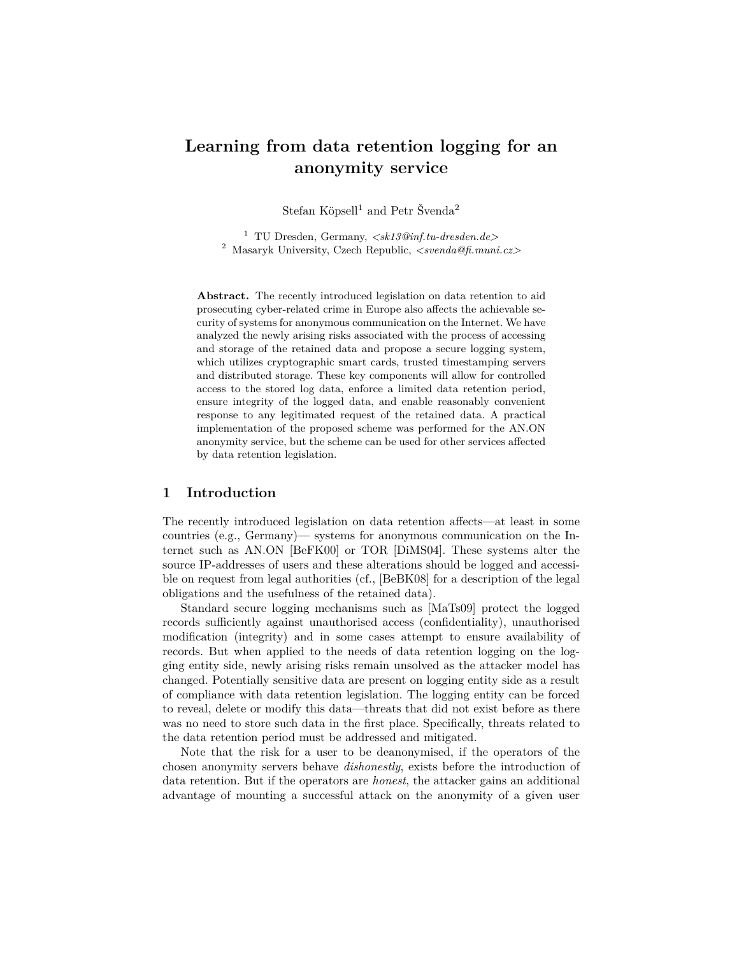# **Learning from data retention logging for an anonymity service**

Stefan Köpsell<sup>1</sup> and Petr Švenda<sup>2</sup>

<sup>1</sup> TU Dresden, Germany, *<sk13@inf.tu-dresden.de>* <sup>2</sup> Masaryk University, Czech Republic, *<svenda@fi.muni.cz>*

**Abstract.** The recently introduced legislation on data retention to aid prosecuting cyber-related crime in Europe also affects the achievable security of systems for anonymous communication on the Internet. We have analyzed the newly arising risks associated with the process of accessing and storage of the retained data and propose a secure logging system, which utilizes cryptographic smart cards, trusted timestamping servers and distributed storage. These key components will allow for controlled access to the stored log data, enforce a limited data retention period, ensure integrity of the logged data, and enable reasonably convenient response to any legitimated request of the retained data. A practical implementation of the proposed scheme was performed for the AN.ON anonymity service, but the scheme can be used for other services affected by data retention legislation.

### **1 Introduction**

The recently introduced legislation on data retention affects—at least in some countries (e.g., Germany)— systems for anonymous communication on the Internet such as AN.ON [BeFK00] or TOR [DiMS04]. These systems alter the source IP-addresses of users and these alterations should be logged and accessible on request from legal authorities (cf., [BeBK08] for a description of the legal obligations and the usefulness of the retained data).

Standard secure logging mechanisms such as [MaTs09] protect the logged records sufficiently against unauthorised access (confidentiality), unauthorised modification (integrity) and in some cases attempt to ensure availability of records. But when applied to the needs of data retention logging on the logging entity side, newly arising risks remain unsolved as the attacker model has changed. Potentially sensitive data are present on logging entity side as a result of compliance with data retention legislation. The logging entity can be forced to reveal, delete or modify this data—threats that did not exist before as there was no need to store such data in the first place. Specifically, threats related to the data retention period must be addressed and mitigated.

Note that the risk for a user to be deanonymised, if the operators of the chosen anonymity servers behave *dishonestly*, exists before the introduction of data retention. But if the operators are *honest*, the attacker gains an additional advantage of mounting a successful attack on the anonymity of a given user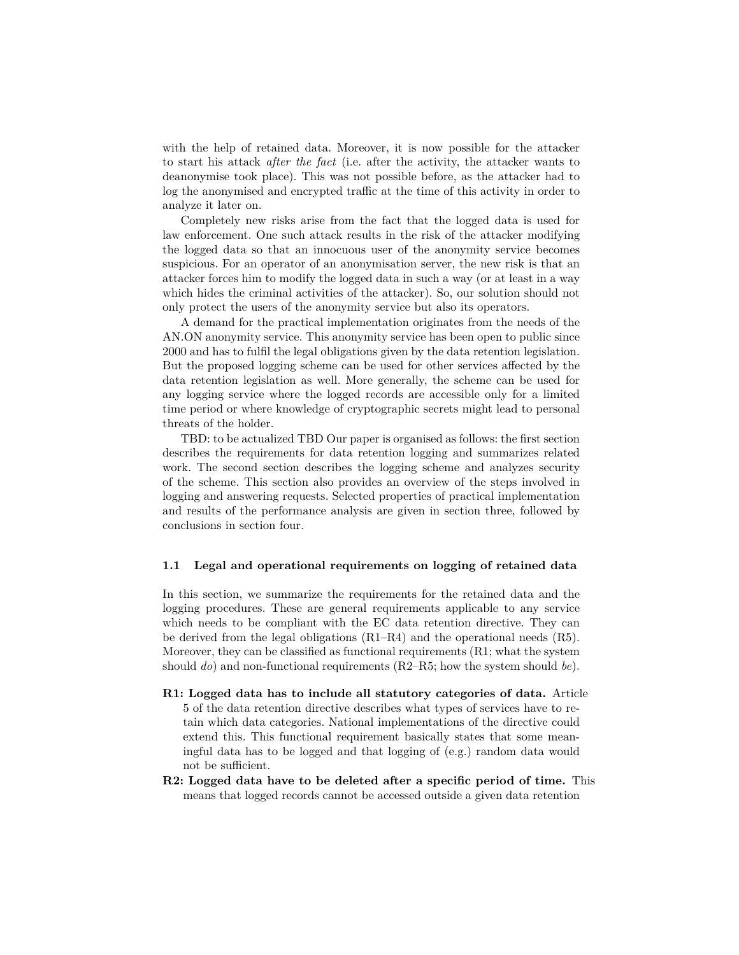with the help of retained data. Moreover, it is now possible for the attacker to start his attack *after the fact* (i.e. after the activity, the attacker wants to deanonymise took place). This was not possible before, as the attacker had to log the anonymised and encrypted traffic at the time of this activity in order to analyze it later on.

Completely new risks arise from the fact that the logged data is used for law enforcement. One such attack results in the risk of the attacker modifying the logged data so that an innocuous user of the anonymity service becomes suspicious. For an operator of an anonymisation server, the new risk is that an attacker forces him to modify the logged data in such a way (or at least in a way which hides the criminal activities of the attacker). So, our solution should not only protect the users of the anonymity service but also its operators.

A demand for the practical implementation originates from the needs of the AN.ON anonymity service. This anonymity service has been open to public since 2000 and has to fulfil the legal obligations given by the data retention legislation. But the proposed logging scheme can be used for other services affected by the data retention legislation as well. More generally, the scheme can be used for any logging service where the logged records are accessible only for a limited time period or where knowledge of cryptographic secrets might lead to personal threats of the holder.

TBD: to be actualized TBD Our paper is organised as follows: the first section describes the requirements for data retention logging and summarizes related work. The second section describes the logging scheme and analyzes security of the scheme. This section also provides an overview of the steps involved in logging and answering requests. Selected properties of practical implementation and results of the performance analysis are given in section three, followed by conclusions in section four.

#### **1.1 Legal and operational requirements on logging of retained data**

In this section, we summarize the requirements for the retained data and the logging procedures. These are general requirements applicable to any service which needs to be compliant with the EC data retention directive. They can be derived from the legal obligations (R1–R4) and the operational needs (R5). Moreover, they can be classified as functional requirements (R1; what the system should *do*) and non-functional requirements (R2–R5; how the system should *be*).

- **R1: Logged data has to include all statutory categories of data.** Article 5 of the data retention directive describes what types of services have to retain which data categories. National implementations of the directive could extend this. This functional requirement basically states that some meaningful data has to be logged and that logging of (e.g.) random data would not be sufficient.
- **R2: Logged data have to be deleted after a specific period of time.** This means that logged records cannot be accessed outside a given data retention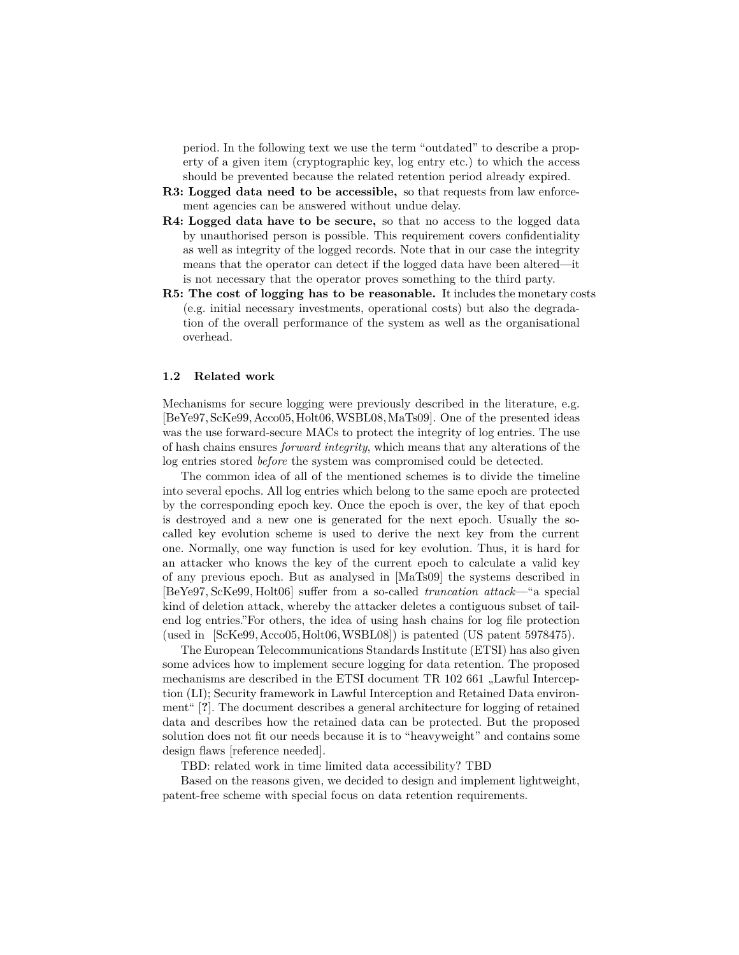period. In the following text we use the term "outdated" to describe a property of a given item (cryptographic key, log entry etc.) to which the access should be prevented because the related retention period already expired.

- **R3: Logged data need to be accessible,** so that requests from law enforcement agencies can be answered without undue delay.
- **R4: Logged data have to be secure,** so that no access to the logged data by unauthorised person is possible. This requirement covers confidentiality as well as integrity of the logged records. Note that in our case the integrity means that the operator can detect if the logged data have been altered—it is not necessary that the operator proves something to the third party.
- **R5: The cost of logging has to be reasonable.** It includes the monetary costs (e.g. initial necessary investments, operational costs) but also the degradation of the overall performance of the system as well as the organisational overhead.

#### **1.2 Related work**

Mechanisms for secure logging were previously described in the literature, e.g. [BeYe97, ScKe99, Acco05, Holt06,WSBL08,MaTs09]. One of the presented ideas was the use forward-secure MACs to protect the integrity of log entries. The use of hash chains ensures *forward integrity*, which means that any alterations of the log entries stored *before* the system was compromised could be detected.

The common idea of all of the mentioned schemes is to divide the timeline into several epochs. All log entries which belong to the same epoch are protected by the corresponding epoch key. Once the epoch is over, the key of that epoch is destroyed and a new one is generated for the next epoch. Usually the socalled key evolution scheme is used to derive the next key from the current one. Normally, one way function is used for key evolution. Thus, it is hard for an attacker who knows the key of the current epoch to calculate a valid key of any previous epoch. But as analysed in [MaTs09] the systems described in [BeYe97, ScKe99, Holt06] suffer from a so-called *truncation attack*—"a special kind of deletion attack, whereby the attacker deletes a contiguous subset of tailend log entries."For others, the idea of using hash chains for log file protection (used in [ScKe99, Acco05, Holt06,WSBL08]) is patented (US patent 5978475).

The European Telecommunications Standards Institute (ETSI) has also given some advices how to implement secure logging for data retention. The proposed mechanisms are described in the ETSI document TR  $102\,661$  . Lawful Interception (LI); Security framework in Lawful Interception and Retained Data environment" [**?**]. The document describes a general architecture for logging of retained data and describes how the retained data can be protected. But the proposed solution does not fit our needs because it is to "heavyweight" and contains some design flaws [reference needed].

TBD: related work in time limited data accessibility? TBD

Based on the reasons given, we decided to design and implement lightweight, patent-free scheme with special focus on data retention requirements.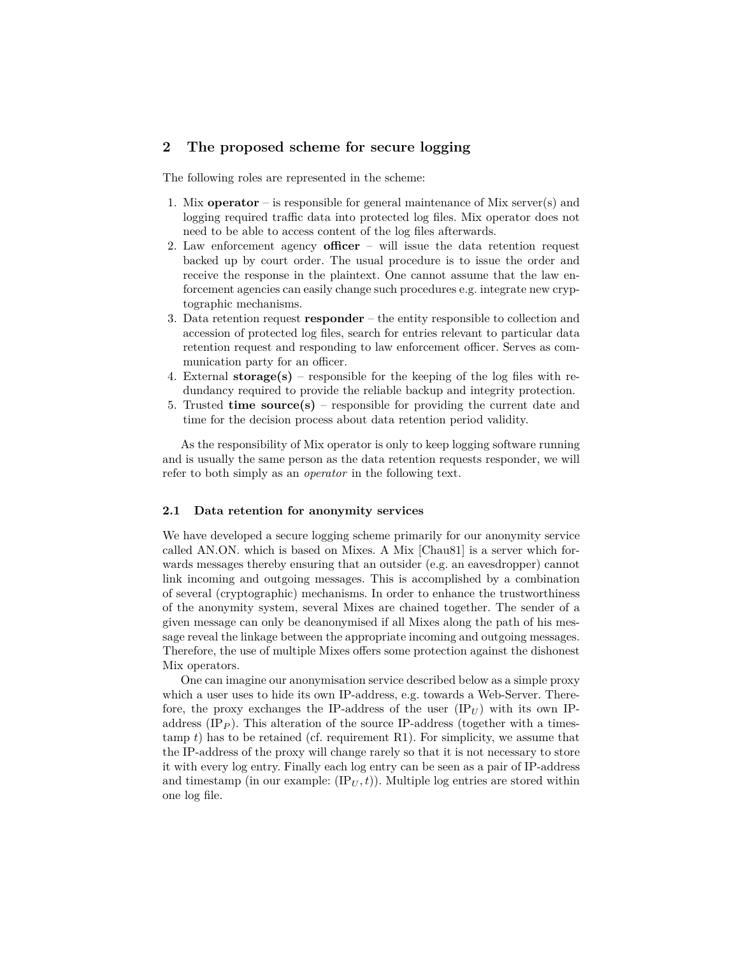# **2 The proposed scheme for secure logging**

The following roles are represented in the scheme:

- 1. Mix **operator** is responsible for general maintenance of Mix server(s) and logging required traffic data into protected log files. Mix operator does not need to be able to access content of the log files afterwards.
- 2. Law enforcement agency **officer** will issue the data retention request backed up by court order. The usual procedure is to issue the order and receive the response in the plaintext. One cannot assume that the law enforcement agencies can easily change such procedures e.g. integrate new cryptographic mechanisms.
- 3. Data retention request **responder** the entity responsible to collection and accession of protected log files, search for entries relevant to particular data retention request and responding to law enforcement officer. Serves as communication party for an officer.
- 4. External **storage(s)** responsible for the keeping of the log files with redundancy required to provide the reliable backup and integrity protection.
- 5. Trusted **time source(s)** responsible for providing the current date and time for the decision process about data retention period validity.

As the responsibility of Mix operator is only to keep logging software running and is usually the same person as the data retention requests responder, we will refer to both simply as an *operator* in the following text.

### **2.1 Data retention for anonymity services**

We have developed a secure logging scheme primarily for our anonymity service called AN.ON. which is based on Mixes. A Mix [Chau81] is a server which forwards messages thereby ensuring that an outsider (e.g. an eavesdropper) cannot link incoming and outgoing messages. This is accomplished by a combination of several (cryptographic) mechanisms. In order to enhance the trustworthiness of the anonymity system, several Mixes are chained together. The sender of a given message can only be deanonymised if all Mixes along the path of his message reveal the linkage between the appropriate incoming and outgoing messages. Therefore, the use of multiple Mixes offers some protection against the dishonest Mix operators.

One can imagine our anonymisation service described below as a simple proxy which a user uses to hide its own IP-address, e.g. towards a Web-Server. Therefore, the proxy exchanges the IP-address of the user  $(IP_U)$  with its own IPaddress  $(\text{IP}_P)$ . This alteration of the source IP-address (together with a times- $\tanh t$ ) has to be retained (cf. requirement R1). For simplicity, we assume that the IP-address of the proxy will change rarely so that it is not necessary to store it with every log entry. Finally each log entry can be seen as a pair of IP-address and timestamp (in our example:  $(\text{IP}_U, t)$ ). Multiple log entries are stored within one log file.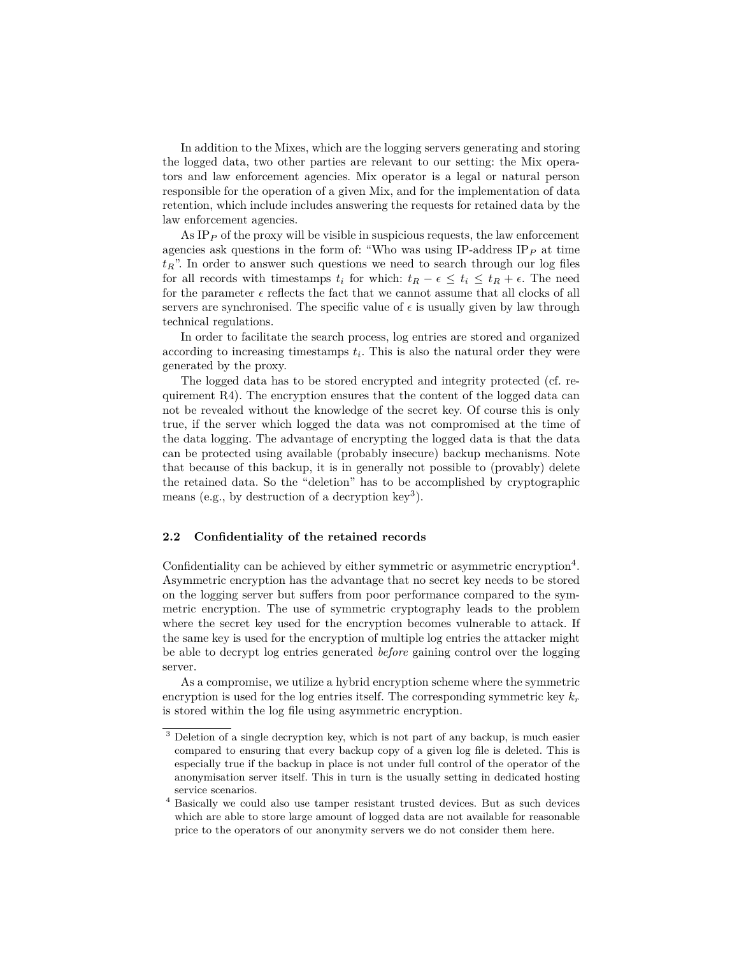In addition to the Mixes, which are the logging servers generating and storing the logged data, two other parties are relevant to our setting: the Mix operators and law enforcement agencies. Mix operator is a legal or natural person responsible for the operation of a given Mix, and for the implementation of data retention, which include includes answering the requests for retained data by the law enforcement agencies.

As IP*<sup>P</sup>* of the proxy will be visible in suspicious requests, the law enforcement agencies ask questions in the form of: "Who was using IP-address  $IP<sub>P</sub>$  at time  $t<sub>R</sub>$ ". In order to answer such questions we need to search through our log files for all records with timestamps  $t_i$  for which:  $t_R - \epsilon \leq t_i \leq t_R + \epsilon$ . The need for the parameter  $\epsilon$  reflects the fact that we cannot assume that all clocks of all servers are synchronised. The specific value of  $\epsilon$  is usually given by law through technical regulations.

In order to facilitate the search process, log entries are stored and organized according to increasing timestamps  $t_i$ . This is also the natural order they were generated by the proxy.

The logged data has to be stored encrypted and integrity protected (cf. requirement R4). The encryption ensures that the content of the logged data can not be revealed without the knowledge of the secret key. Of course this is only true, if the server which logged the data was not compromised at the time of the data logging. The advantage of encrypting the logged data is that the data can be protected using available (probably insecure) backup mechanisms. Note that because of this backup, it is in generally not possible to (provably) delete the retained data. So the "deletion" has to be accomplished by cryptographic means (e.g., by destruction of a decryption  $key^3$ ).

### **2.2 Confidentiality of the retained records**

Confidentiality can be achieved by either symmetric or asymmetric encryption<sup>4</sup>. Asymmetric encryption has the advantage that no secret key needs to be stored on the logging server but suffers from poor performance compared to the symmetric encryption. The use of symmetric cryptography leads to the problem where the secret key used for the encryption becomes vulnerable to attack. If the same key is used for the encryption of multiple log entries the attacker might be able to decrypt log entries generated *before* gaining control over the logging server.

As a compromise, we utilize a hybrid encryption scheme where the symmetric encryption is used for the log entries itself. The corresponding symmetric key *k<sup>r</sup>* is stored within the log file using asymmetric encryption.

<sup>&</sup>lt;sup>3</sup> Deletion of a single decryption key, which is not part of any backup, is much easier compared to ensuring that every backup copy of a given log file is deleted. This is especially true if the backup in place is not under full control of the operator of the anonymisation server itself. This in turn is the usually setting in dedicated hosting service scenarios.

<sup>4</sup> Basically we could also use tamper resistant trusted devices. But as such devices which are able to store large amount of logged data are not available for reasonable price to the operators of our anonymity servers we do not consider them here.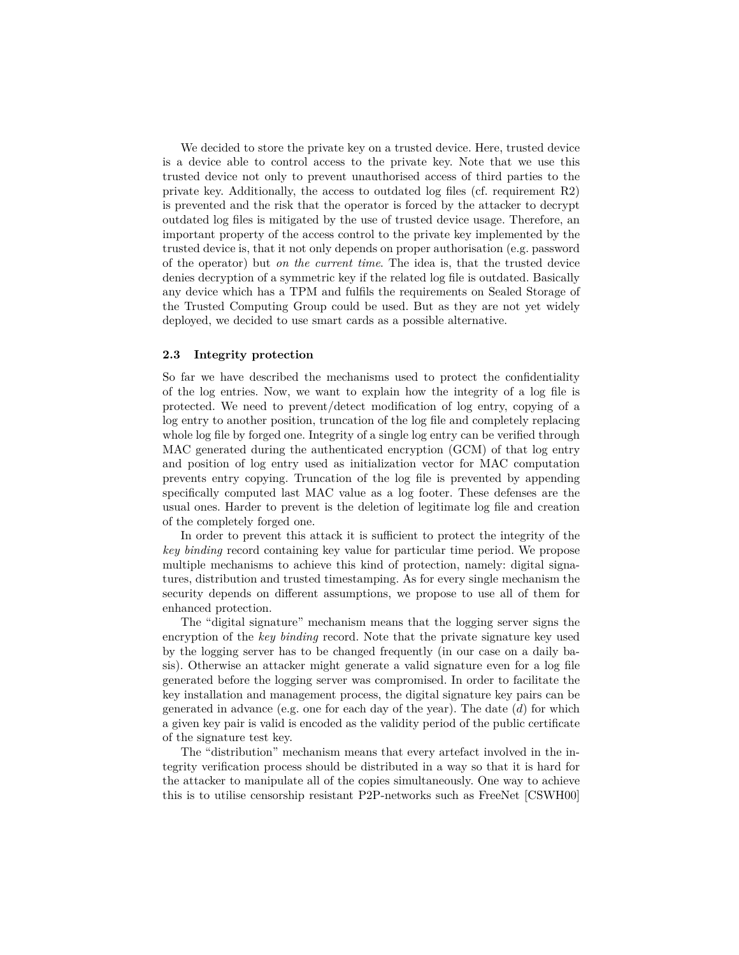We decided to store the private key on a trusted device. Here, trusted device is a device able to control access to the private key. Note that we use this trusted device not only to prevent unauthorised access of third parties to the private key. Additionally, the access to outdated log files (cf. requirement R2) is prevented and the risk that the operator is forced by the attacker to decrypt outdated log files is mitigated by the use of trusted device usage. Therefore, an important property of the access control to the private key implemented by the trusted device is, that it not only depends on proper authorisation (e.g. password of the operator) but *on the current time*. The idea is, that the trusted device denies decryption of a symmetric key if the related log file is outdated. Basically any device which has a TPM and fulfils the requirements on Sealed Storage of the Trusted Computing Group could be used. But as they are not yet widely deployed, we decided to use smart cards as a possible alternative.

#### **2.3 Integrity protection**

So far we have described the mechanisms used to protect the confidentiality of the log entries. Now, we want to explain how the integrity of a log file is protected. We need to prevent/detect modification of log entry, copying of a log entry to another position, truncation of the log file and completely replacing whole log file by forged one. Integrity of a single log entry can be verified through MAC generated during the authenticated encryption (GCM) of that log entry and position of log entry used as initialization vector for MAC computation prevents entry copying. Truncation of the log file is prevented by appending specifically computed last MAC value as a log footer. These defenses are the usual ones. Harder to prevent is the deletion of legitimate log file and creation of the completely forged one.

In order to prevent this attack it is sufficient to protect the integrity of the *key binding* record containing key value for particular time period. We propose multiple mechanisms to achieve this kind of protection, namely: digital signatures, distribution and trusted timestamping. As for every single mechanism the security depends on different assumptions, we propose to use all of them for enhanced protection.

The "digital signature" mechanism means that the logging server signs the encryption of the *key binding* record. Note that the private signature key used by the logging server has to be changed frequently (in our case on a daily basis). Otherwise an attacker might generate a valid signature even for a log file generated before the logging server was compromised. In order to facilitate the key installation and management process, the digital signature key pairs can be generated in advance (e.g. one for each day of the year). The date (*d*) for which a given key pair is valid is encoded as the validity period of the public certificate of the signature test key.

The "distribution" mechanism means that every artefact involved in the integrity verification process should be distributed in a way so that it is hard for the attacker to manipulate all of the copies simultaneously. One way to achieve this is to utilise censorship resistant P2P-networks such as FreeNet [CSWH00]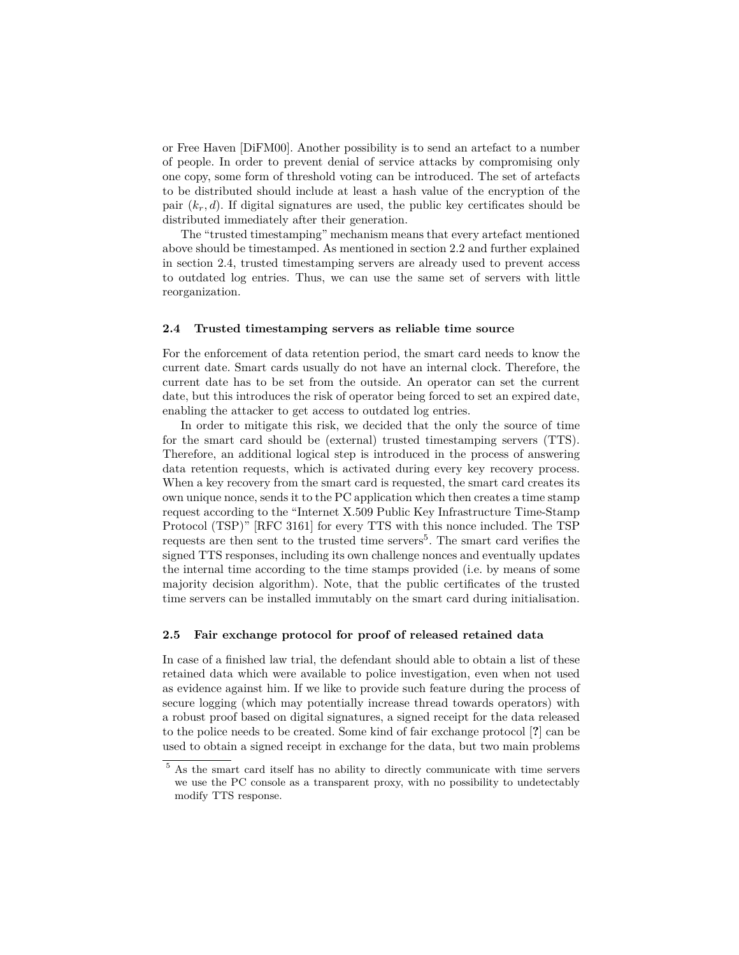or Free Haven [DiFM00]. Another possibility is to send an artefact to a number of people. In order to prevent denial of service attacks by compromising only one copy, some form of threshold voting can be introduced. The set of artefacts to be distributed should include at least a hash value of the encryption of the pair  $(k_r, d)$ . If digital signatures are used, the public key certificates should be distributed immediately after their generation.

The "trusted timestamping" mechanism means that every artefact mentioned above should be timestamped. As mentioned in section 2.2 and further explained in section 2.4, trusted timestamping servers are already used to prevent access to outdated log entries. Thus, we can use the same set of servers with little reorganization.

#### **2.4 Trusted timestamping servers as reliable time source**

For the enforcement of data retention period, the smart card needs to know the current date. Smart cards usually do not have an internal clock. Therefore, the current date has to be set from the outside. An operator can set the current date, but this introduces the risk of operator being forced to set an expired date, enabling the attacker to get access to outdated log entries.

In order to mitigate this risk, we decided that the only the source of time for the smart card should be (external) trusted timestamping servers (TTS). Therefore, an additional logical step is introduced in the process of answering data retention requests, which is activated during every key recovery process. When a key recovery from the smart card is requested, the smart card creates its own unique nonce, sends it to the PC application which then creates a time stamp request according to the "Internet X.509 Public Key Infrastructure Time-Stamp Protocol (TSP)" [RFC 3161] for every TTS with this nonce included. The TSP requests are then sent to the trusted time servers<sup>5</sup>. The smart card verifies the signed TTS responses, including its own challenge nonces and eventually updates the internal time according to the time stamps provided (i.e. by means of some majority decision algorithm). Note, that the public certificates of the trusted time servers can be installed immutably on the smart card during initialisation.

#### **2.5 Fair exchange protocol for proof of released retained data**

In case of a finished law trial, the defendant should able to obtain a list of these retained data which were available to police investigation, even when not used as evidence against him. If we like to provide such feature during the process of secure logging (which may potentially increase thread towards operators) with a robust proof based on digital signatures, a signed receipt for the data released to the police needs to be created. Some kind of fair exchange protocol [**?**] can be used to obtain a signed receipt in exchange for the data, but two main problems

<sup>5</sup> As the smart card itself has no ability to directly communicate with time servers we use the PC console as a transparent proxy, with no possibility to undetectably modify TTS response.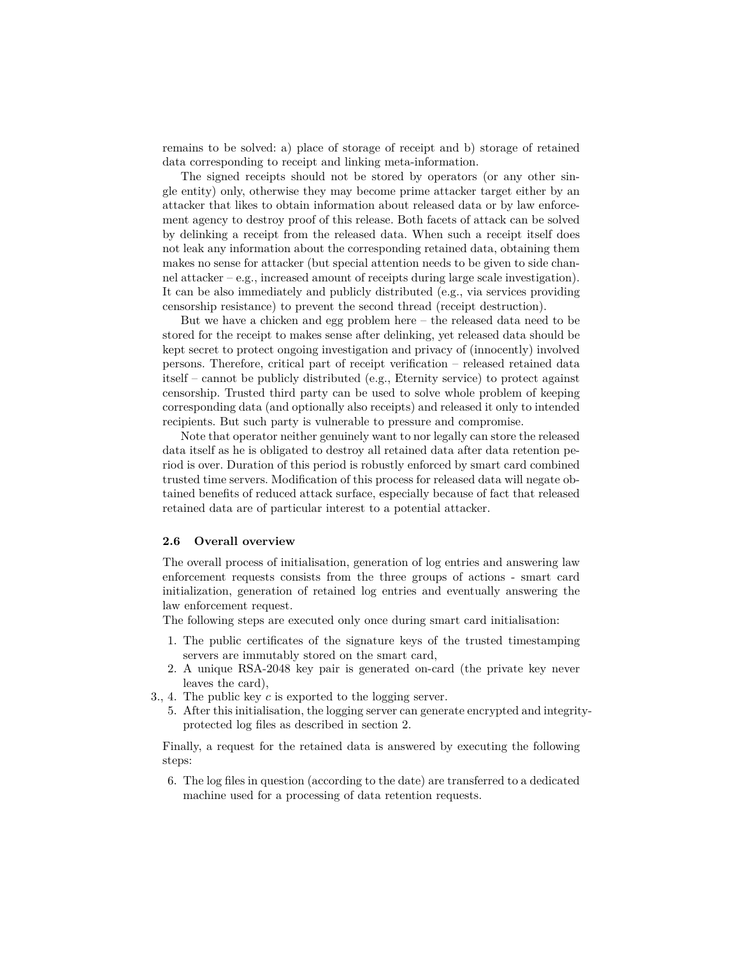remains to be solved: a) place of storage of receipt and b) storage of retained data corresponding to receipt and linking meta-information.

The signed receipts should not be stored by operators (or any other single entity) only, otherwise they may become prime attacker target either by an attacker that likes to obtain information about released data or by law enforcement agency to destroy proof of this release. Both facets of attack can be solved by delinking a receipt from the released data. When such a receipt itself does not leak any information about the corresponding retained data, obtaining them makes no sense for attacker (but special attention needs to be given to side channel attacker – e.g., increased amount of receipts during large scale investigation). It can be also immediately and publicly distributed (e.g., via services providing censorship resistance) to prevent the second thread (receipt destruction).

But we have a chicken and egg problem here – the released data need to be stored for the receipt to makes sense after delinking, yet released data should be kept secret to protect ongoing investigation and privacy of (innocently) involved persons. Therefore, critical part of receipt verification – released retained data itself – cannot be publicly distributed (e.g., Eternity service) to protect against censorship. Trusted third party can be used to solve whole problem of keeping corresponding data (and optionally also receipts) and released it only to intended recipients. But such party is vulnerable to pressure and compromise.

Note that operator neither genuinely want to nor legally can store the released data itself as he is obligated to destroy all retained data after data retention period is over. Duration of this period is robustly enforced by smart card combined trusted time servers. Modification of this process for released data will negate obtained benefits of reduced attack surface, especially because of fact that released retained data are of particular interest to a potential attacker.

#### **2.6 Overall overview**

The overall process of initialisation, generation of log entries and answering law enforcement requests consists from the three groups of actions - smart card initialization, generation of retained log entries and eventually answering the law enforcement request.

The following steps are executed only once during smart card initialisation:

- 1. The public certificates of the signature keys of the trusted timestamping servers are immutably stored on the smart card,
- 2. A unique RSA-2048 key pair is generated on-card (the private key never leaves the card),
- 3., 4. The public key *c* is exported to the logging server.
	- 5. After this initialisation, the logging server can generate encrypted and integrityprotected log files as described in section 2.

Finally, a request for the retained data is answered by executing the following steps:

6. The log files in question (according to the date) are transferred to a dedicated machine used for a processing of data retention requests.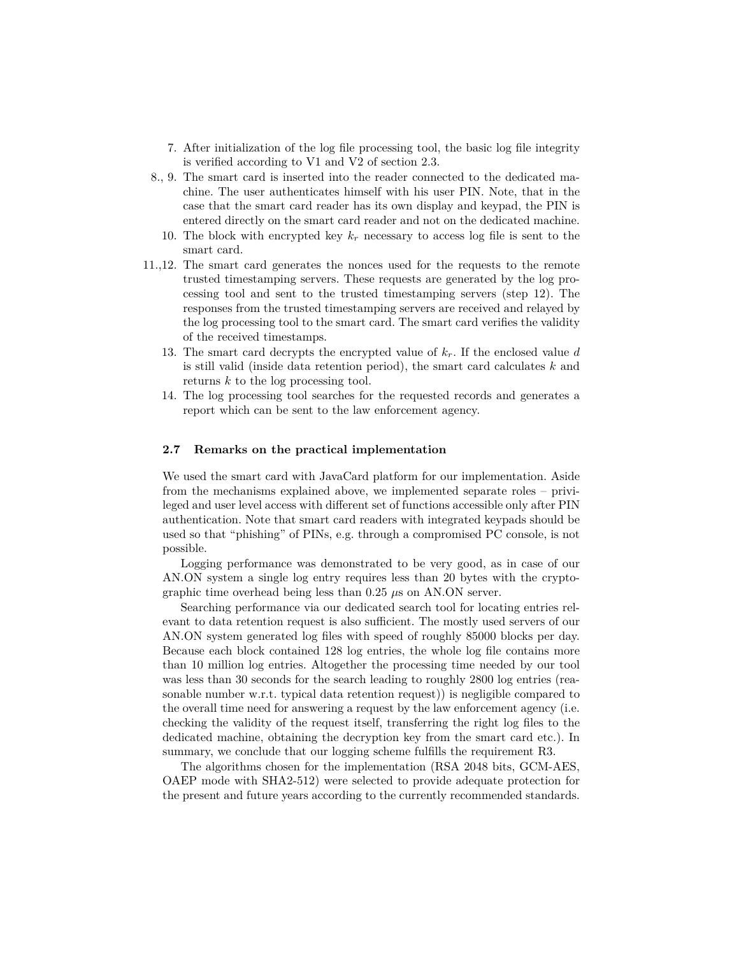- 7. After initialization of the log file processing tool, the basic log file integrity is verified according to V1 and V2 of section 2.3.
- 8., 9. The smart card is inserted into the reader connected to the dedicated machine. The user authenticates himself with his user PIN. Note, that in the case that the smart card reader has its own display and keypad, the PIN is entered directly on the smart card reader and not on the dedicated machine.
	- 10. The block with encrypted key *k<sup>r</sup>* necessary to access log file is sent to the smart card.
- 11.,12. The smart card generates the nonces used for the requests to the remote trusted timestamping servers. These requests are generated by the log processing tool and sent to the trusted timestamping servers (step 12). The responses from the trusted timestamping servers are received and relayed by the log processing tool to the smart card. The smart card verifies the validity of the received timestamps.
	- 13. The smart card decrypts the encrypted value of *kr*. If the enclosed value *d* is still valid (inside data retention period), the smart card calculates *k* and returns *k* to the log processing tool.
	- 14. The log processing tool searches for the requested records and generates a report which can be sent to the law enforcement agency.

### **2.7 Remarks on the practical implementation**

We used the smart card with JavaCard platform for our implementation. Aside from the mechanisms explained above, we implemented separate roles – privileged and user level access with different set of functions accessible only after PIN authentication. Note that smart card readers with integrated keypads should be used so that "phishing" of PINs, e.g. through a compromised PC console, is not possible.

Logging performance was demonstrated to be very good, as in case of our AN.ON system a single log entry requires less than 20 bytes with the cryptographic time overhead being less than 0.25 *µ*s on AN.ON server.

Searching performance via our dedicated search tool for locating entries relevant to data retention request is also sufficient. The mostly used servers of our AN.ON system generated log files with speed of roughly 85000 blocks per day. Because each block contained 128 log entries, the whole log file contains more than 10 million log entries. Altogether the processing time needed by our tool was less than 30 seconds for the search leading to roughly 2800 log entries (reasonable number w.r.t. typical data retention request)) is negligible compared to the overall time need for answering a request by the law enforcement agency (i.e. checking the validity of the request itself, transferring the right log files to the dedicated machine, obtaining the decryption key from the smart card etc.). In summary, we conclude that our logging scheme fulfills the requirement R3.

The algorithms chosen for the implementation (RSA 2048 bits, GCM-AES, OAEP mode with SHA2-512) were selected to provide adequate protection for the present and future years according to the currently recommended standards.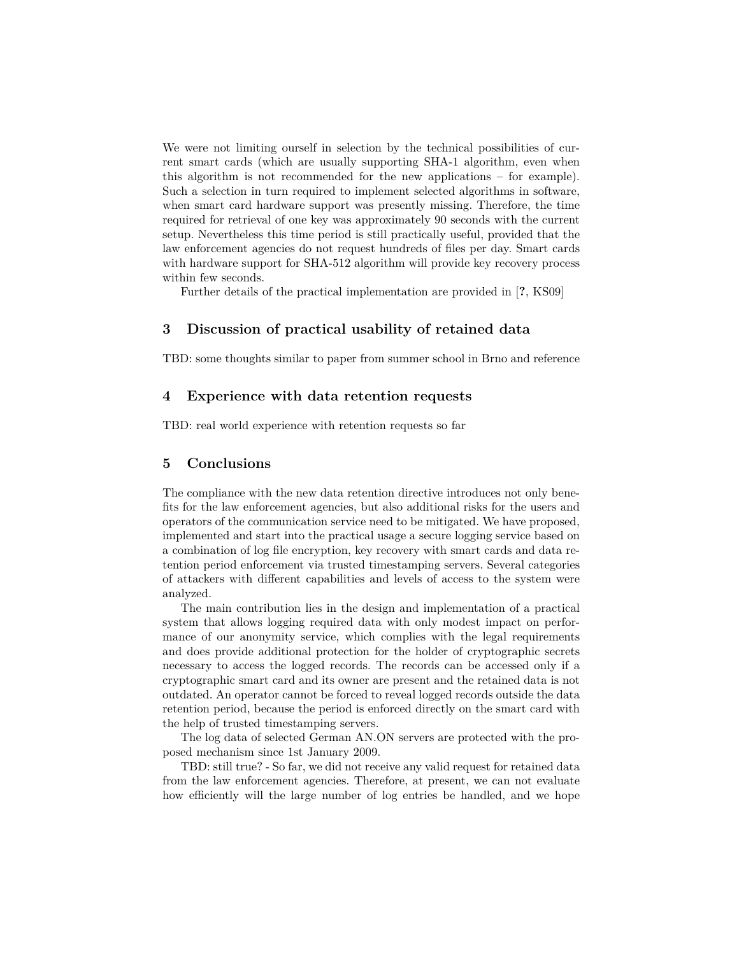We were not limiting ourself in selection by the technical possibilities of current smart cards (which are usually supporting SHA-1 algorithm, even when this algorithm is not recommended for the new applications – for example). Such a selection in turn required to implement selected algorithms in software, when smart card hardware support was presently missing. Therefore, the time required for retrieval of one key was approximately 90 seconds with the current setup. Nevertheless this time period is still practically useful, provided that the law enforcement agencies do not request hundreds of files per day. Smart cards with hardware support for SHA-512 algorithm will provide key recovery process within few seconds.

Further details of the practical implementation are provided in [**?**, KS09]

### **3 Discussion of practical usability of retained data**

TBD: some thoughts similar to paper from summer school in Brno and reference

# **4 Experience with data retention requests**

TBD: real world experience with retention requests so far

# **5 Conclusions**

The compliance with the new data retention directive introduces not only benefits for the law enforcement agencies, but also additional risks for the users and operators of the communication service need to be mitigated. We have proposed, implemented and start into the practical usage a secure logging service based on a combination of log file encryption, key recovery with smart cards and data retention period enforcement via trusted timestamping servers. Several categories of attackers with different capabilities and levels of access to the system were analyzed.

The main contribution lies in the design and implementation of a practical system that allows logging required data with only modest impact on performance of our anonymity service, which complies with the legal requirements and does provide additional protection for the holder of cryptographic secrets necessary to access the logged records. The records can be accessed only if a cryptographic smart card and its owner are present and the retained data is not outdated. An operator cannot be forced to reveal logged records outside the data retention period, because the period is enforced directly on the smart card with the help of trusted timestamping servers.

The log data of selected German AN.ON servers are protected with the proposed mechanism since 1st January 2009.

TBD: still true? - So far, we did not receive any valid request for retained data from the law enforcement agencies. Therefore, at present, we can not evaluate how efficiently will the large number of log entries be handled, and we hope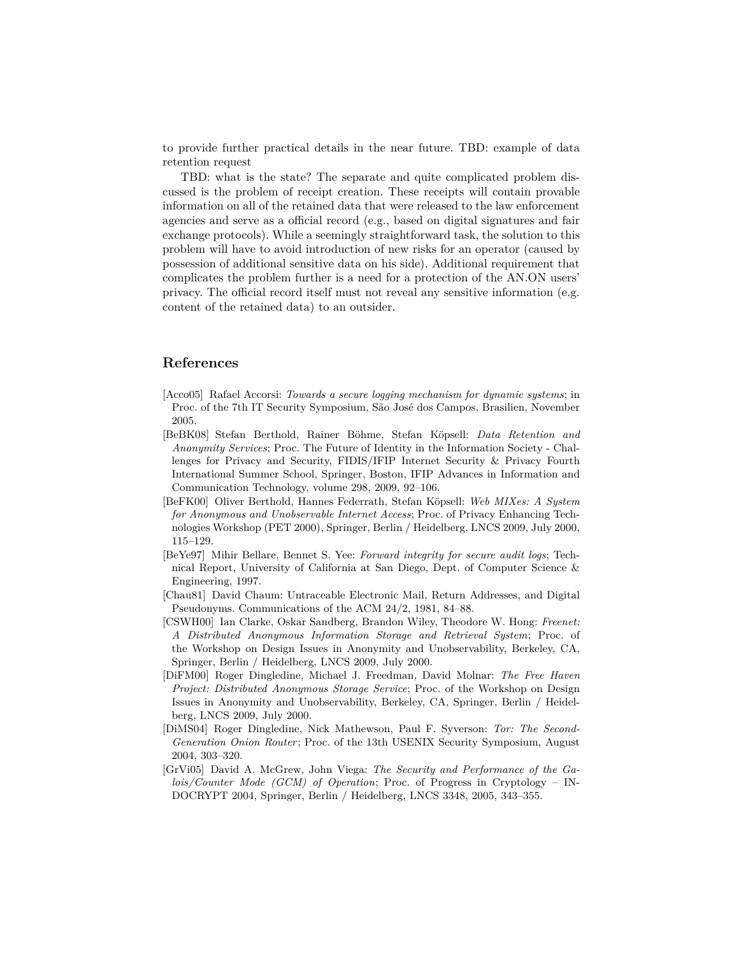to provide further practical details in the near future. TBD: example of data retention request

TBD: what is the state? The separate and quite complicated problem discussed is the problem of receipt creation. These receipts will contain provable information on all of the retained data that were released to the law enforcement agencies and serve as a official record (e.g., based on digital signatures and fair exchange protocols). While a seemingly straightforward task, the solution to this problem will have to avoid introduction of new risks for an operator (caused by possession of additional sensitive data on his side). Additional requirement that complicates the problem further is a need for a protection of the AN.ON users' privacy. The official record itself must not reveal any sensitive information (e.g. content of the retained data) to an outsider.

# **References**

- [Acco05] Rafael Accorsi: *Towards a secure logging mechanism for dynamic systems*; in Proc. of the 7th IT Security Symposium, São José dos Campos, Brasilien, November 2005.
- [BeBK08] Stefan Berthold, Rainer Böhme, Stefan Köpsell: *Data Retention and Anonymity Services*; Proc. The Future of Identity in the Information Society - Challenges for Privacy and Security, FIDIS/IFIP Internet Security & Privacy Fourth International Summer School, Springer, Boston, IFIP Advances in Information and Communication Technology, volume 298, 2009, 92–106.
- [BeFK00] Oliver Berthold, Hannes Federrath, Stefan Köpsell: *Web MIXes: A System for Anonymous and Unobservable Internet Access*; Proc. of Privacy Enhancing Technologies Workshop (PET 2000), Springer, Berlin / Heidelberg, LNCS 2009, July 2000, 115–129.
- [BeYe97] Mihir Bellare, Bennet S. Yee: *Forward integrity for secure audit logs*; Technical Report, University of California at San Diego, Dept. of Computer Science & Engineering, 1997.
- [Chau81] David Chaum: Untraceable Electronic Mail, Return Addresses, and Digital Pseudonyms. Communications of the ACM 24/2, 1981, 84–88.
- [CSWH00] Ian Clarke, Oskar Sandberg, Brandon Wiley, Theodore W. Hong: *Freenet: A Distributed Anonymous Information Storage and Retrieval System*; Proc. of the Workshop on Design Issues in Anonymity and Unobservability, Berkeley, CA, Springer, Berlin / Heidelberg, LNCS 2009, July 2000.
- [DiFM00] Roger Dingledine, Michael J. Freedman, David Molnar: *The Free Haven Project: Distributed Anonymous Storage Service*; Proc. of the Workshop on Design Issues in Anonymity and Unobservability, Berkeley, CA, Springer, Berlin / Heidelberg, LNCS 2009, July 2000.
- [DiMS04] Roger Dingledine, Nick Mathewson, Paul F. Syverson: *Tor: The Second-Generation Onion Router*; Proc. of the 13th USENIX Security Symposium, August 2004, 303–320.
- [GrVi05] David A. McGrew, John Viega: *The Security and Performance of the Galois/Counter Mode (GCM) of Operation*; Proc. of Progress in Cryptology – IN-DOCRYPT 2004, Springer, Berlin / Heidelberg, LNCS 3348, 2005, 343–355.